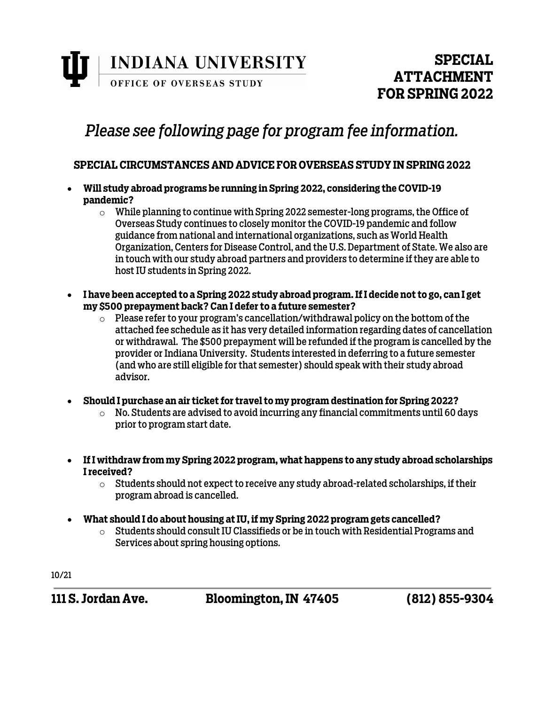**INDIANA UNIVERSITY** OFFICE OF OVERSEAS STUDY

### **SPECIAL ATTACHMENT FOR SPRING 2022**

# *Please see following page for program fee information.*

### **SPECIAL CIRCUMSTANCES AND ADVICE FOR OVERSEAS STUDY IN SPRING 2022**

- **Will study abroad programs be running in Spring 2022, considering the COVID-19 pandemic?** 
	- $\circ$  While planning to continue with Spring 2022 semester-long programs, the Office of Overseas Study continues to closely monitor the COVID-19 pandemic and follow guidance from national and international organizations, such as World Health Organization, Centers for Disease Control, and the U.S. Department of State. We also are in touch with our study abroad partners and providers to determine if they are able to host IU students in Spring 2022.
- **I have been accepted to a Spring 2022 study abroad program. If I decide not to go, can I get my \$500 prepayment back? Can I defer to a future semester?**
	- $\circ$  Please refer to your program's cancellation/withdrawal policy on the bottom of the attached fee schedule as it has very detailed information regarding dates of cancellation or withdrawal. The \$500 prepayment will be refunded if the program is cancelled by the provider or Indiana University. Students interested in deferring to a future semester (and who are still eligible for that semester) should speak with their study abroad advisor.
- **Should I purchase an air ticket for travel to my program destination for Spring 2022?**
	- $\circ$  No. Students are advised to avoid incurring any financial commitments until 60 days prior to program start date.
- **If I withdraw from my Spring 2022 program, what happens to any study abroad scholarships I received?**
	- $\circ$  Students should not expect to receive any study abroad-related scholarships, if their program abroad is cancelled.
- **What should I do about housing at IU, if my Spring 2022 program gets cancelled?**
	- $\circ$  Students should consult IU Classifieds or be in touch with Residential Programs and Services about spring housing options.

10/21

**111 S. Jordan Ave. Bloomington, IN 47405 (812) 855-9304**